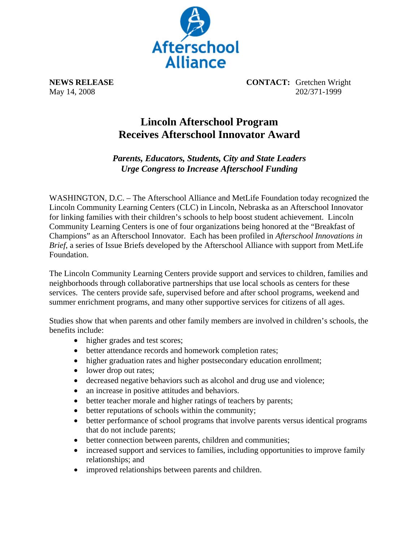

**NEWS RELEASE CONTACT:** Gretchen Wright May 14, 2008 202/371-1999

## **Lincoln Afterschool Program Receives Afterschool Innovator Award**

*Parents, Educators, Students, City and State Leaders Urge Congress to Increase Afterschool Funding* 

WASHINGTON, D.C. – The Afterschool Alliance and MetLife Foundation today recognized the Lincoln Community Learning Centers (CLC) in Lincoln, Nebraska as an Afterschool Innovator for linking families with their children's schools to help boost student achievement. Lincoln Community Learning Centers is one of four organizations being honored at the "Breakfast of Champions" as an Afterschool Innovator. Each has been profiled in *Afterschool Innovations in Brief*, a series of Issue Briefs developed by the Afterschool Alliance with support from MetLife Foundation.

The Lincoln Community Learning Centers provide support and services to children, families and neighborhoods through collaborative partnerships that use local schools as centers for these services. The centers provide safe, supervised before and after school programs, weekend and summer enrichment programs, and many other supportive services for citizens of all ages.

Studies show that when parents and other family members are involved in children's schools, the benefits include:

- higher grades and test scores;
- better attendance records and homework completion rates;
- higher graduation rates and higher postsecondary education enrollment;
- lower drop out rates;
- decreased negative behaviors such as alcohol and drug use and violence;
- an increase in positive attitudes and behaviors.
- better teacher morale and higher ratings of teachers by parents;
- better reputations of schools within the community;
- better performance of school programs that involve parents versus identical programs that do not include parents;
- better connection between parents, children and communities;
- increased support and services to families, including opportunities to improve family relationships; and
- improved relationships between parents and children.